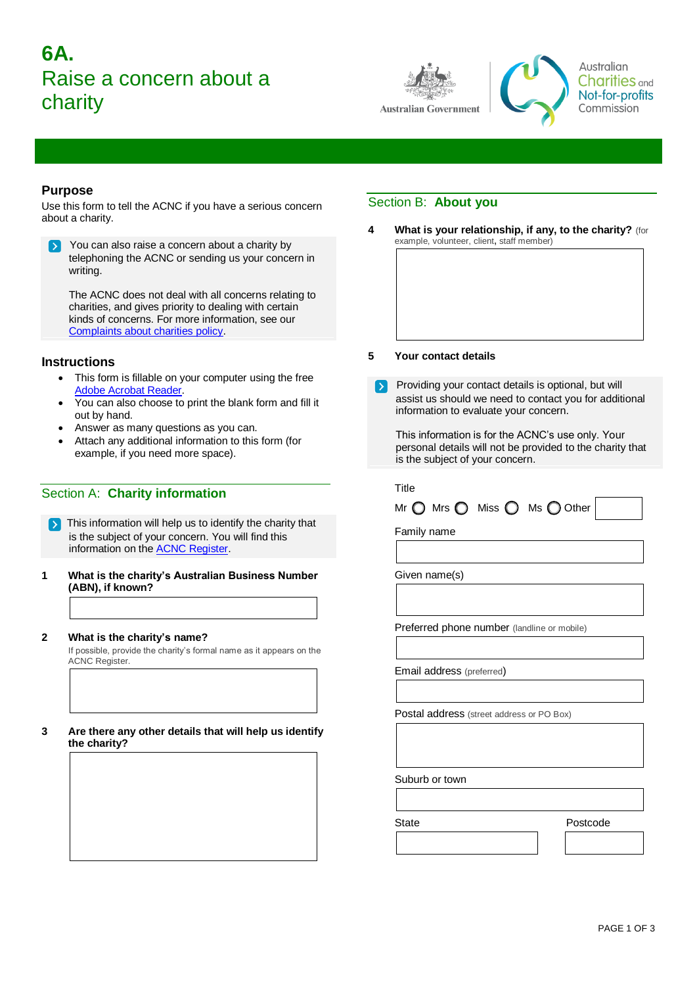# **6A.**  Raise a concern about a charity



Australian **Charities** and Not-for-profits Commission

## **Purpose**

Use this form to tell the ACNC if you have a serious concern about a charity.

You can also raise a concern about a charity by telephoning the ACNC or sending us your concern in writing.

The ACNC does not deal with all concerns relating to charities, and gives priority to dealing with certain kinds of concerns. For more information, see our [Complaints about charities policy.](https://www.acnc.gov.au/about/corporate-information/corporate-policies/commissioners-policy-statement-complaints-about-charities)

## **Instructions**

- This form is fillable on your computer using the free [Adobe Acrobat Reader.](http://www.adobe.com/au/products/reader.html)
- You can also choose to print the blank form and fill it out by hand.
- Answer as many questions as you can.
- Attach any additional information to this form (for example, if you need more space).

## Section A: **Charity information**

- This information will help us to identify the charity that is the subject of your concern. You will find this information on th[e ACNC Register.](https://www.acnc.gov.au/charity)
- **1 What is the charity's Australian Business Number (ABN), if known?**

#### **2 What is the charity's name?**

If possible, provide the charity's formal name as it appears on the ACNC Register.

#### **3 Are there any other details that will help us identify the charity?**

# Section B: **About you**

**4 What is your relationship, if any, to the charity?** (for example, volunteer, client**,** staff member)

#### **5 Your contact details**

Providing your contact details is optional, but will assist us should we need to contact you for additional information to evaluate your concern.

This information is for the ACNC's use only. Your personal details will not be provided to the charity that is the subject of your concern.

| Mr $\bigcirc$ Mrs $\bigcirc$ Miss $\bigcirc$ Ms $\bigcirc$ Other |  |
|------------------------------------------------------------------|--|
|------------------------------------------------------------------|--|

Family name

Given name(s)

Preferred phone number (landline or mobile)

Email address (preferred)

Postal address (street address or PO Box)

Suburb or town

State Postcode

PAGE 1 OF 3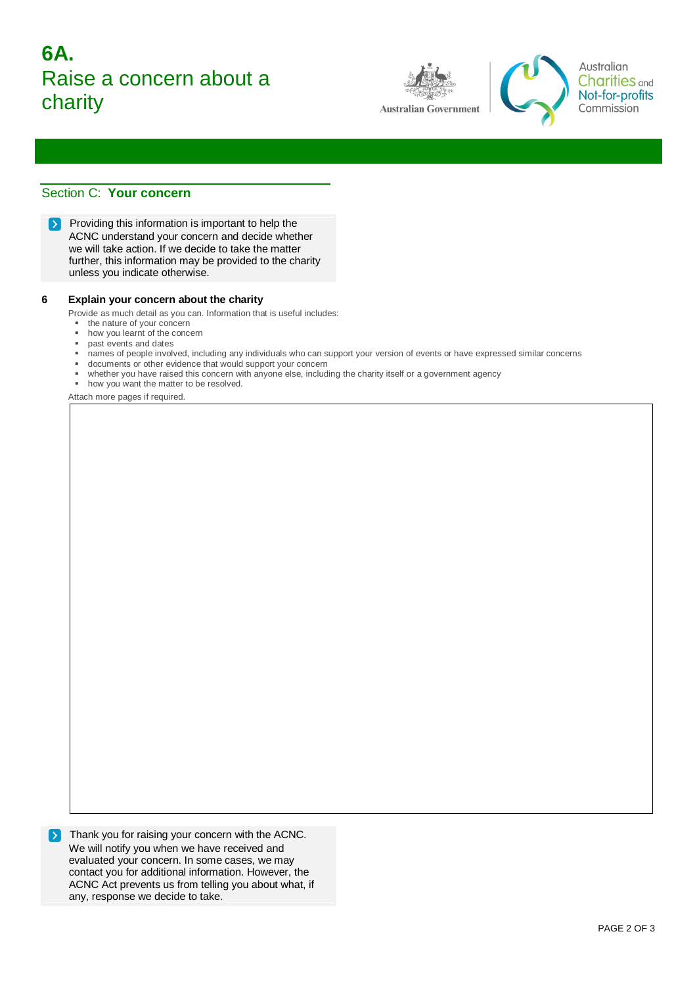# **6A.**  Raise a concern about a charity





Australian Charities <sub>and</sub> Not-for-profits Commission

# Section C: **Your concern**

 Providing this information is important to help the ACNC understand your concern and decide whether we will take action. If we decide to take the matter further, this information may be provided to the charity unless you indicate otherwise.

### **6 Explain your concern about the charity**

Provide as much detail as you can. Information that is useful includes:

- the nature of your concern
- how you learnt of the concern
- past events and dates
- names of people involved, including any individuals who can support your version of events or have expressed similar concerns
- documents or other evidence that would support your concern
- whether you have raised this concern with anyone else, including the charity itself or a government agency
- **how you want the matter to be resolved.**

Attach more pages if required.

 Thank you for raising your concern with the ACNC. We will notify you when we have received and evaluated your concern. In some cases, we may contact you for additional information. However, the ACNC Act prevents us from telling you about what, if any, response we decide to take.